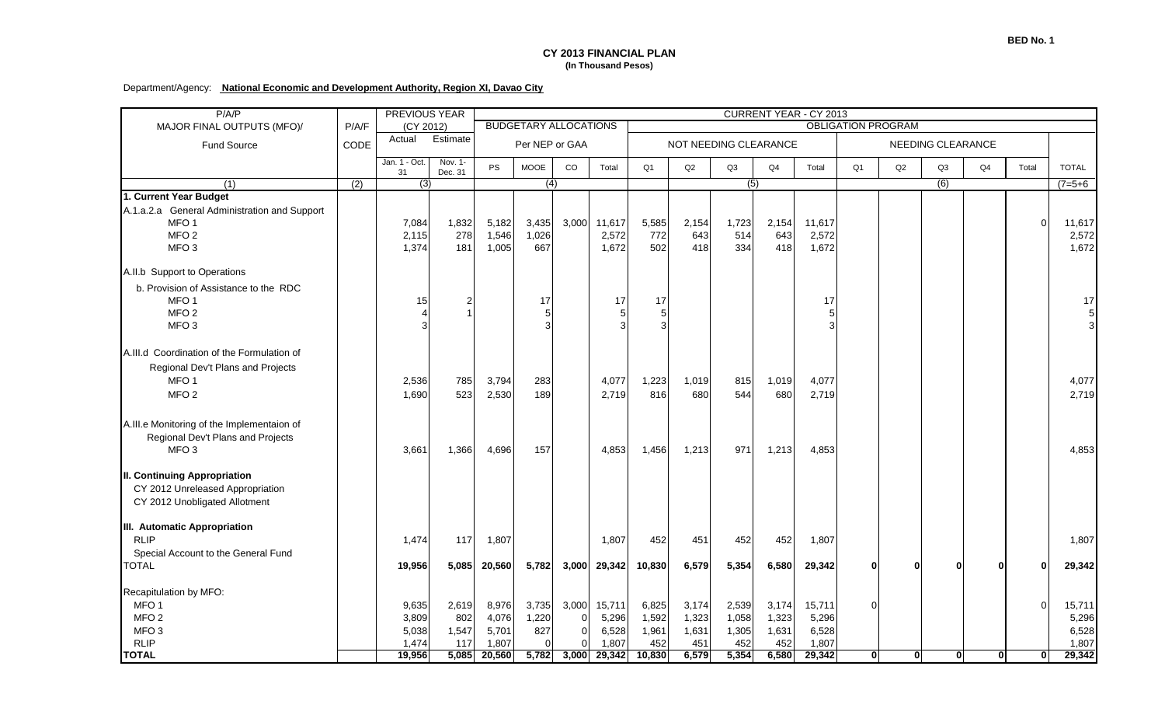## **CY 2013 FINANCIAL PLAN (In Thousand Pesos)**

## Department/Agency: **National Economic and Development Authority, Region XI, Davao City**

| P/A/P                                                                                                                   |                  | PREVIOUS YEAR           |                                                           |                         |                       |          |                          |                       | <b>CURRENT YEAR - CY 2013</b> |                     |                     |                          |                |              |              |              |              |                          |  |
|-------------------------------------------------------------------------------------------------------------------------|------------------|-------------------------|-----------------------------------------------------------|-------------------------|-----------------------|----------|--------------------------|-----------------------|-------------------------------|---------------------|---------------------|--------------------------|----------------|--------------|--------------|--------------|--------------|--------------------------|--|
| MAJOR FINAL OUTPUTS (MFO)/                                                                                              | P/A/F            | (CY 2012)               | <b>BUDGETARY ALLOCATIONS</b><br><b>OBLIGATION PROGRAM</b> |                         |                       |          |                          |                       |                               |                     |                     |                          |                |              |              |              |              |                          |  |
| Fund Source                                                                                                             | CODE             | Actual                  | Estimate                                                  | Per NEP or GAA          |                       |          |                          | NOT NEEDING CLEARANCE |                               |                     |                     |                          |                |              |              |              |              |                          |  |
|                                                                                                                         |                  | Jan. 1 - Oct.<br>31     | Nov. 1-<br>Dec. 31                                        | <b>PS</b>               | <b>MOOE</b>           | CO       | Total                    | O <sub>1</sub>        | Q2                            | Q3                  | Q <sub>4</sub>      | Total                    | O <sub>1</sub> | Q2           | Q3           | Q4           | Total        | <b>TOTAL</b>             |  |
| (1)                                                                                                                     | $\overline{(2)}$ | (3)                     |                                                           |                         | $\overline{(4)}$      |          |                          |                       |                               | (5)                 |                     |                          |                |              | (6)          |              |              | $(7=5+6)$                |  |
| 1. Current Year Budget                                                                                                  |                  |                         |                                                           |                         |                       |          |                          |                       |                               |                     |                     |                          |                |              |              |              |              |                          |  |
| A.1.a.2.a General Administration and Support<br>MFO <sub>1</sub><br>MFO <sub>2</sub><br>MFO <sub>3</sub>                |                  | 7,084<br>2,115<br>1,374 | 1,832<br>278<br>181                                       | 5,182<br>1,546<br>1,005 | 3,435<br>1,026<br>667 | 3,000    | 11,617<br>2,572<br>1,672 | 5,585<br>772<br>502   | 2,154<br>643<br>418           | 1,723<br>514<br>334 | 2,154<br>643<br>418 | 11,617<br>2,572<br>1,672 |                |              |              |              | $\Omega$     | 11,617<br>2,572<br>1,672 |  |
| A.II.b Support to Operations                                                                                            |                  |                         |                                                           |                         |                       |          |                          |                       |                               |                     |                     |                          |                |              |              |              |              |                          |  |
| b. Provision of Assistance to the RDC<br>MFO <sub>1</sub><br>MFO <sub>2</sub><br>MFO <sub>3</sub>                       |                  | 15                      | $\overline{2}$                                            |                         | 17                    |          | 17                       | 17                    |                               |                     |                     | 17                       |                |              |              |              |              | 17<br>$\mathbf 5$<br>3   |  |
| A.III.d Coordination of the Formulation of<br>Regional Dev't Plans and Projects<br>MFO <sub>1</sub><br>MFO <sub>2</sub> |                  | 2,536<br>1,690          | 785<br>523                                                | 3,794<br>2,530          | 283<br>189            |          | 4,077<br>2,719           | 1,223<br>816          | 1,019<br>680                  | 815<br>544          | 1,019<br>680        | 4,077<br>2,719           |                |              |              |              |              | 4,077<br>2,719           |  |
| A.III.e Monitoring of the Implementaion of<br>Regional Dev't Plans and Projects<br>MFO 3                                |                  | 3,661                   | 1,366                                                     | 4,696                   | 157                   |          | 4,853                    | 1,456                 | 1,213                         | 971                 | 1,213               | 4,853                    |                |              |              |              |              | 4,853                    |  |
| <b>II. Continuing Appropriation</b><br>CY 2012 Unreleased Appropriation<br>CY 2012 Unobligated Allotment                |                  |                         |                                                           |                         |                       |          |                          |                       |                               |                     |                     |                          |                |              |              |              |              |                          |  |
| III. Automatic Appropriation<br><b>RLIP</b><br>Special Account to the General Fund<br><b>TOTAL</b>                      |                  | 1,474<br>19,956         | 117<br>5,085                                              | 1,807<br>20,560         | 5,782                 | 3,000    | 1,807<br>29,342          | 452<br>10,830         | 451<br>6,579                  | 452<br>5,354        | 452<br>6,580        | 1,807<br>29,342          | $\mathbf{0}$   | $\bf{0}$     | O            | $\Omega$     |              | 1,807<br>29,342          |  |
| Recapitulation by MFO:                                                                                                  |                  |                         |                                                           |                         |                       |          |                          |                       |                               |                     |                     |                          |                |              |              |              |              |                          |  |
| MFO <sub>1</sub>                                                                                                        |                  | 9,635                   | 2,619                                                     | 8,976                   | 3,735                 | 3,000    | 15,711                   | 6,825                 | 3,174                         | 2,539               | 3,174               | 15,711                   | $\Omega$       |              |              |              | $\Omega$     | 15,711                   |  |
| MFO <sub>2</sub>                                                                                                        |                  | 3,809                   | 802                                                       | 4,076                   | 1,220                 | $\Omega$ | 5,296                    | 1,592                 | 1,323                         | 1,058               | 1,323               | 5,296                    |                |              |              |              |              | 5,296                    |  |
| MFO <sub>3</sub>                                                                                                        |                  | 5,038                   | 1,547                                                     | 5,701                   | 827                   |          | 6,528                    | 1,961                 | 1,631                         | 1,305               | 1,631               | 6,528                    |                |              |              |              |              | 6,528                    |  |
| <b>RLIP</b>                                                                                                             |                  | 1,474                   | 117                                                       | 1,807                   | $\Omega$              |          | 1,807                    | 452                   | 451                           | 452                 | 452                 | 1,807                    |                |              |              |              |              | 1,807                    |  |
| <b>TOTAL</b>                                                                                                            |                  | 19,956                  | 5,085                                                     | 20,560                  | 5,782                 | 3,000    | 29,342                   | 10,830                | 6,579                         | 5,354               | 6,580               | 29,342                   | $\mathbf{0}$   | $\mathbf{0}$ | $\mathbf{0}$ | $\mathbf{0}$ | $\mathbf{0}$ | 29,342                   |  |